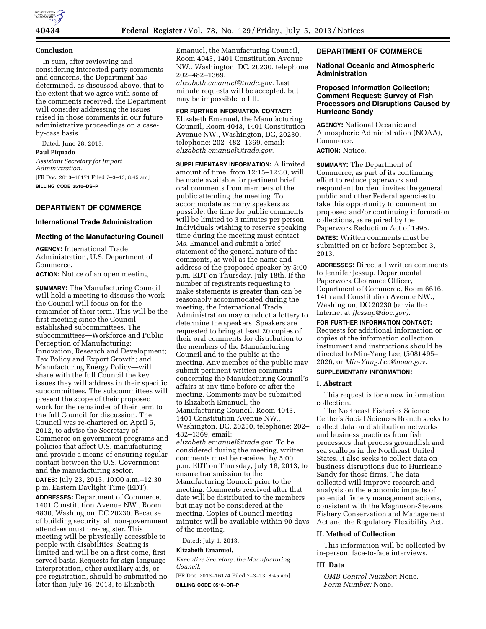

#### **Conclusion**

In sum, after reviewing and considering interested party comments and concerns, the Department has determined, as discussed above, that to the extent that we agree with some of the comments received, the Department will consider addressing the issues raised in those comments in our future administrative proceedings on a caseby-case basis.

Dated: June 28, 2013. **Paul Piquado**  *Assistant Secretary for Import Administration.*  [FR Doc. 2013–16171 Filed 7–3–13; 8:45 am] **BILLING CODE 3510–DS–P** 

# **DEPARTMENT OF COMMERCE**

# **International Trade Administration**

### **Meeting of the Manufacturing Council**

**AGENCY:** International Trade Administration, U.S. Department of Commerce.

**ACTION:** Notice of an open meeting.

**SUMMARY:** The Manufacturing Council will hold a meeting to discuss the work the Council will focus on for the remainder of their term. This will be the first meeting since the Council established subcommittees. The subcommittees—Workforce and Public Perception of Manufacturing; Innovation, Research and Development; Tax Policy and Export Growth; and Manufacturing Energy Policy—will share with the full Council the key issues they will address in their specific subcommittees. The subcommittees will present the scope of their proposed work for the remainder of their term to the full Council for discussion. The Council was re-chartered on April 5, 2012, to advise the Secretary of Commerce on government programs and policies that affect U.S. manufacturing and provide a means of ensuring regular contact between the U.S. Government and the manufacturing sector.

**DATES:** July 23, 2013, 10:00 a.m.–12:30 p.m. Eastern Daylight Time (EDT).

**ADDRESSES:** Department of Commerce, 1401 Constitution Avenue NW., Room 4830, Washington, DC 20230. Because of building security, all non-government attendees must pre-register. This meeting will be physically accessible to people with disabilities. Seating is limited and will be on a first come, first served basis. Requests for sign language interpretation, other auxiliary aids, or pre-registration, should be submitted no later than July 16, 2013, to Elizabeth

Emanuel, the Manufacturing Council, Room 4043, 1401 Constitution Avenue NW., Washington, DC, 20230, telephone 202–482–1369, *[elizabeth.emanuel@trade.gov.](mailto:elizabeth.emanuel@trade.gov)* Last

minute requests will be accepted, but may be impossible to fill.

**FOR FURTHER INFORMATION CONTACT:**  Elizabeth Emanuel, the Manufacturing Council, Room 4043, 1401 Constitution Avenue NW., Washington, DC, 20230, telephone: 202–482–1369, email: *[elizabeth.emanuel@trade.gov.](mailto:elizabeth.emanuel@trade.gov)* 

**SUPPLEMENTARY INFORMATION:** A limited amount of time, from 12:15–12:30, will be made available for pertinent brief oral comments from members of the public attending the meeting. To accommodate as many speakers as possible, the time for public comments will be limited to 3 minutes per person. Individuals wishing to reserve speaking time during the meeting must contact Ms. Emanuel and submit a brief statement of the general nature of the comments, as well as the name and address of the proposed speaker by 5:00 p.m. EDT on Thursday, July 18th. If the number of registrants requesting to make statements is greater than can be reasonably accommodated during the meeting, the International Trade Administration may conduct a lottery to determine the speakers. Speakers are requested to bring at least 20 copies of their oral comments for distribution to the members of the Manufacturing Council and to the public at the meeting. Any member of the public may submit pertinent written comments concerning the Manufacturing Council's affairs at any time before or after the meeting. Comments may be submitted to Elizabeth Emanuel, the Manufacturing Council, Room 4043, 1401 Constitution Avenue NW., Washington, DC, 20230, telephone: 202– 482–1369, email: *[elizabeth.emanuel@trade.gov.](mailto:elizabeth.emanuel@trade.gov)* To be considered during the meeting, written comments must be received by 5:00 p.m. EDT on Thursday, July 18, 2013, to ensure transmission to the Manufacturing Council prior to the meeting. Comments received after that date will be distributed to the members but may not be considered at the meeting. Copies of Council meeting minutes will be available within 90 days of the meeting.

Dated: July 1, 2013.

#### **Elizabeth Emanuel,**

*Executive Secretary, the Manufacturing Council.* 

[FR Doc. 2013–16174 Filed 7–3–13; 8:45 am] **BILLING CODE 3510–DR–P** 

## **DEPARTMENT OF COMMERCE**

#### **National Oceanic and Atmospheric Administration**

## **Proposed Information Collection; Comment Request; Survey of Fish Processors and Disruptions Caused by Hurricane Sandy**

**AGENCY:** National Oceanic and Atmospheric Administration (NOAA), Commerce.

### **ACTION:** Notice.

**SUMMARY:** The Department of Commerce, as part of its continuing effort to reduce paperwork and respondent burden, invites the general public and other Federal agencies to take this opportunity to comment on proposed and/or continuing information collections, as required by the Paperwork Reduction Act of 1995.

**DATES:** Written comments must be submitted on or before September 3, 2013.

**ADDRESSES:** Direct all written comments to Jennifer Jessup, Departmental Paperwork Clearance Officer, Department of Commerce, Room 6616, 14th and Constitution Avenue NW., Washington, DC 20230 (or via the Internet at *[JJessup@doc.gov\).](mailto:JJessup@doc.gov)* 

**FOR FURTHER INFORMATION CONTACT:**  Requests for additional information or copies of the information collection instrument and instructions should be directed to Min-Yang Lee, (508) 495– 2026, or *[Min-Yang.Lee@noaa.gov](mailto:Min-Yang.Lee@noaa.gov)*.

# **SUPPLEMENTARY INFORMATION:**

#### **I. Abstract**

This request is for a new information collection.

The Northeast Fisheries Science Center's Social Sciences Branch seeks to collect data on distribution networks and business practices from fish processors that process groundfish and sea scallops in the Northeast United States. It also seeks to collect data on business disruptions due to Hurricane Sandy for those firms. The data collected will improve research and analysis on the economic impacts of potential fishery management actions, consistent with the Magnuson-Stevens Fishery Conservation and Management Act and the Regulatory Flexibility Act.

#### **II. Method of Collection**

This information will be collected by in-person, face-to-face interviews.

#### **III. Data**

*OMB Control Number:* None. *Form Number:* None.